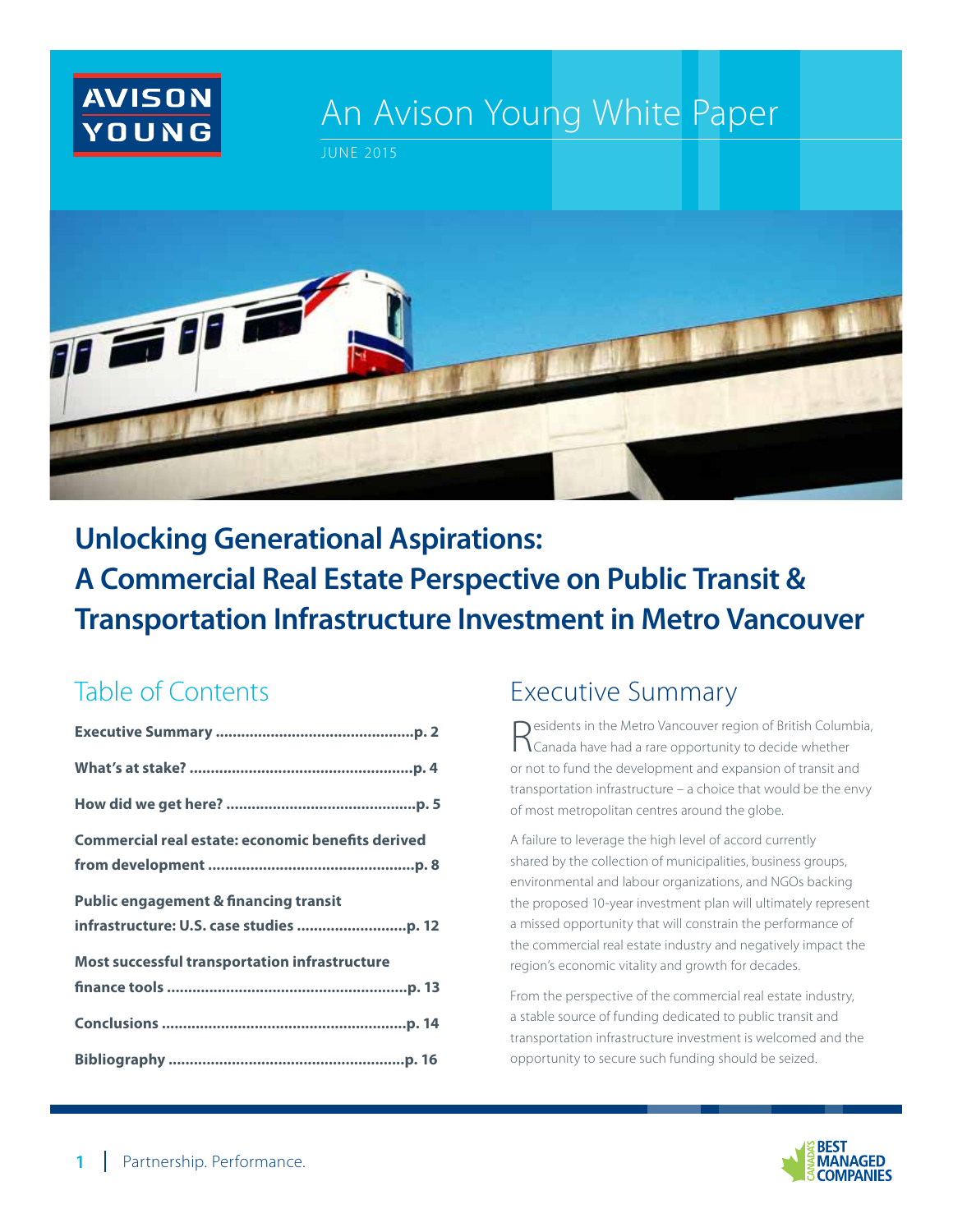

# An Avison Young White Paper

JUNE 2015



**Unlocking Generational Aspirations: A Commercial Real Estate Perspective on Public Transit & Transportation Infrastructure Investment in Metro Vancouver**

## Table of Contents

| <b>Commercial real estate: economic benefits derived</b> |
|----------------------------------------------------------|
|                                                          |
| <b>Public engagement &amp; financing transit</b>         |
|                                                          |
| Most successful transportation infrastructure            |
|                                                          |
|                                                          |
|                                                          |

## Executive Summary

Residents in the Metro Vancouver region of British Columbia, Canada have had a rare opportunity to decide whether or not to fund the development and expansion of transit and transportation infrastructure – a choice that would be the envy of most metropolitan centres around the globe.

A failure to leverage the high level of accord currently shared by the collection of municipalities, business groups, environmental and labour organizations, and NGOs backing the proposed 10-year investment plan will ultimately represent a missed opportunity that will constrain the performance of the commercial real estate industry and negatively impact the region's economic vitality and growth for decades.

From the perspective of the commercial real estate industry, a stable source of funding dedicated to public transit and transportation infrastructure investment is welcomed and the opportunity to secure such funding should be seized.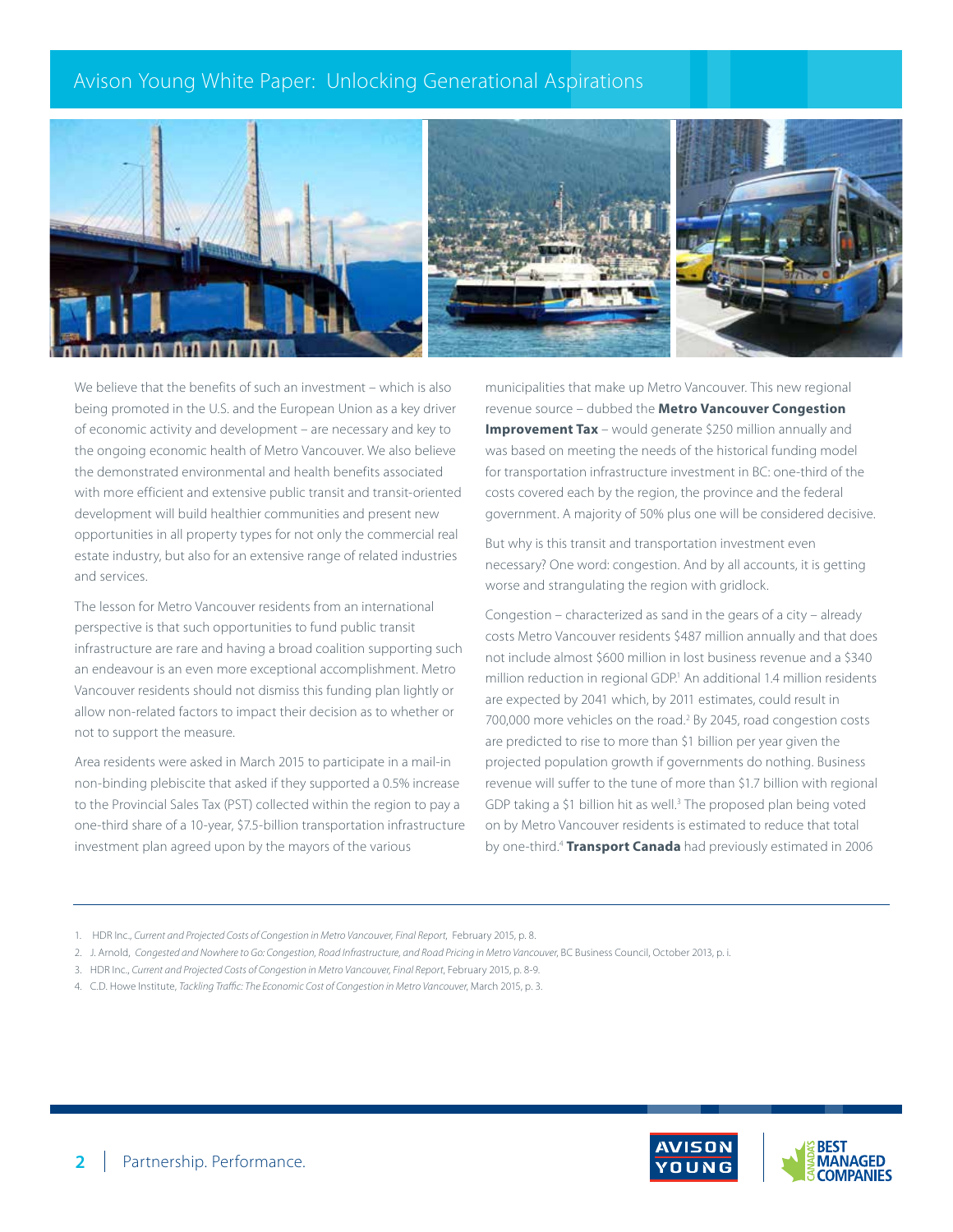



We believe that the benefits of such an investment – which is also being promoted in the U.S. and the European Union as a key driver of economic activity and development – are necessary and key to the ongoing economic health of Metro Vancouver. We also believe the demonstrated environmental and health benefits associated with more efficient and extensive public transit and transit-oriented development will build healthier communities and present new opportunities in all property types for not only the commercial real estate industry, but also for an extensive range of related industries and services.

The lesson for Metro Vancouver residents from an international perspective is that such opportunities to fund public transit infrastructure are rare and having a broad coalition supporting such an endeavour is an even more exceptional accomplishment. Metro Vancouver residents should not dismiss this funding plan lightly or allow non-related factors to impact their decision as to whether or not to support the measure.

Area residents were asked in March 2015 to participate in a mail-in non-binding plebiscite that asked if they supported a 0.5% increase to the Provincial Sales Tax (PST) collected within the region to pay a one-third share of a 10-year, \$7.5-billion transportation infrastructure investment plan agreed upon by the mayors of the various

municipalities that make up Metro Vancouver. This new regional revenue source – dubbed the **Metro Vancouver Congestion Improvement Tax** – would generate \$250 million annually and was based on meeting the needs of the historical funding model for transportation infrastructure investment in BC: one-third of the costs covered each by the region, the province and the federal government. A majority of 50% plus one will be considered decisive.

But why is this transit and transportation investment even necessary? One word: congestion. And by all accounts, it is getting worse and strangulating the region with gridlock.

Congestion – characterized as sand in the gears of a city – already costs Metro Vancouver residents \$487 million annually and that does not include almost \$600 million in lost business revenue and a \$340 million reduction in regional GDP.<sup>1</sup> An additional 1.4 million residents are expected by 2041 which, by 2011 estimates, could result in 700,000 more vehicles on the road.<sup>2</sup> By 2045, road congestion costs are predicted to rise to more than \$1 billion per year given the projected population growth if governments do nothing. Business revenue will suffer to the tune of more than \$1.7 billion with regional GDP taking a \$1 billion hit as well.<sup>3</sup> The proposed plan being voted on by Metro Vancouver residents is estimated to reduce that total by one-third.4 **Transport Canada** had previously estimated in 2006

- 1. HDR Inc., *Current and Projected Costs of Congestion in Metro Vancouver, Final Report*, February 2015, p. 8.
- 2. J. Arnold, *Congested and Nowhere to Go: Congestion, Road Infrastructure, and Road Pricing in Metro Vancouver*, BC Business Council, October 2013, p. i*.*
- 3. HDR Inc., *Current and Projected Costs of Congestion in Metro Vancouver, Final Report*, February 2015, p. 8-9.
- 4. C.D. Howe Institute, *Tackling Traffic: The Economic Cost of Congestion in Metro Vancouver*, March 2015, p. 3.

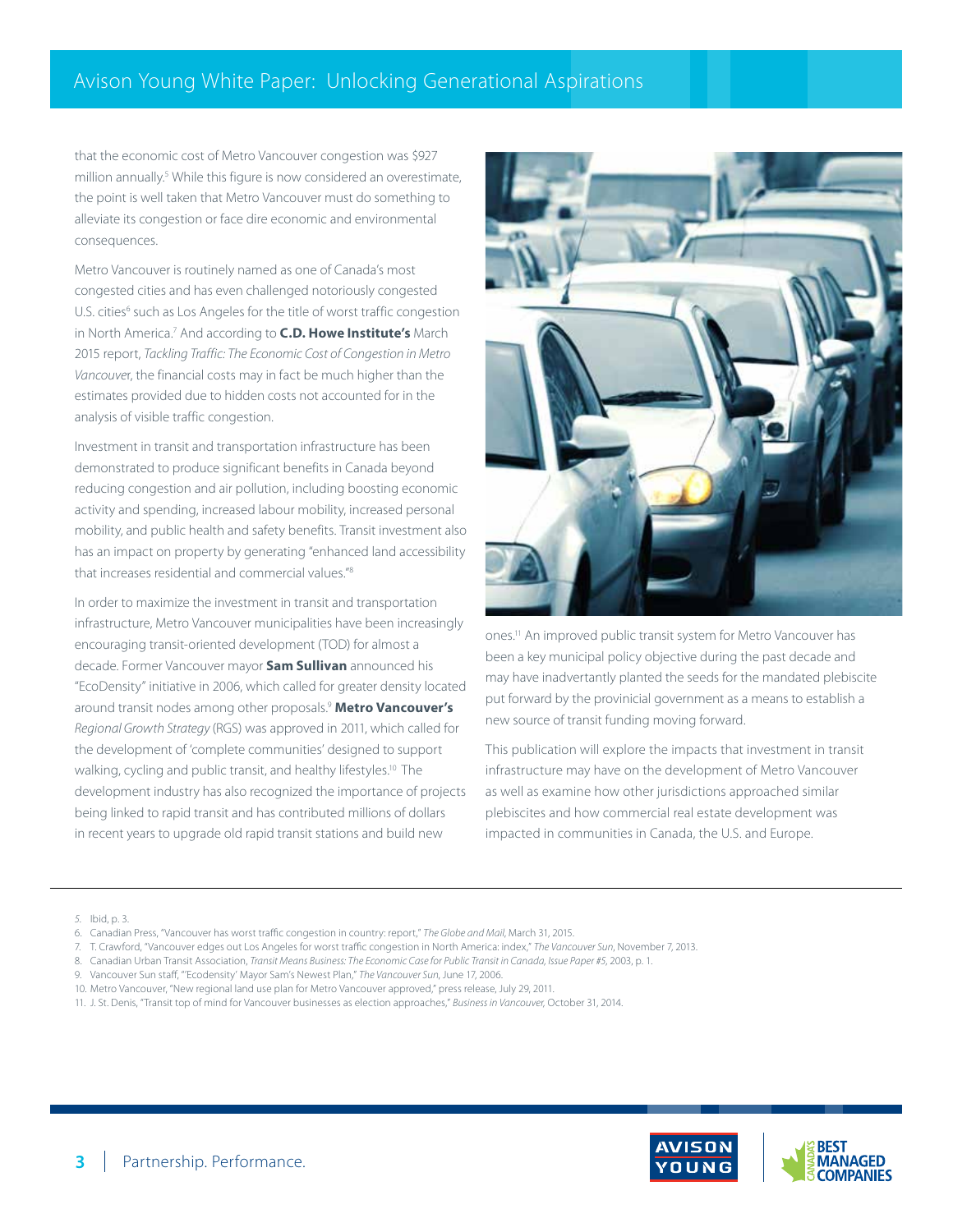that the economic cost of Metro Vancouver congestion was \$927 million annually.<sup>5</sup> While this figure is now considered an overestimate, the point is well taken that Metro Vancouver must do something to alleviate its congestion or face dire economic and environmental consequences.

Metro Vancouver is routinely named as one of Canada's most congested cities and has even challenged notoriously congested U.S. cities<sup>6</sup> such as Los Angeles for the title of worst traffic congestion in North America.7 And according to **C.D. Howe Institute's** March 2015 report, *Tackling Traffic: The Economic Cost of Congestion in Metro Vancouve*r, the financial costs may in fact be much higher than the estimates provided due to hidden costs not accounted for in the analysis of visible traffic congestion.

Investment in transit and transportation infrastructure has been demonstrated to produce significant benefits in Canada beyond reducing congestion and air pollution, including boosting economic activity and spending, increased labour mobility, increased personal mobility, and public health and safety benefits. Transit investment also has an impact on property by generating "enhanced land accessibility that increases residential and commercial values."8

In order to maximize the investment in transit and transportation infrastructure, Metro Vancouver municipalities have been increasingly encouraging transit-oriented development (TOD) for almost a decade. Former Vancouver mayor **Sam Sullivan** announced his "EcoDensity" initiative in 2006, which called for greater density located around transit nodes among other proposals.9 **Metro Vancouver's**  *Regional Growth Strategy* (RGS) was approved in 2011, which called for the development of 'complete communities' designed to support walking, cycling and public transit, and healthy lifestyles.<sup>10</sup> The development industry has also recognized the importance of projects being linked to rapid transit and has contributed millions of dollars in recent years to upgrade old rapid transit stations and build new



ones.11 An improved public transit system for Metro Vancouver has been a key municipal policy objective during the past decade and may have inadvertantly planted the seeds for the mandated plebiscite put forward by the provinicial government as a means to establish a new source of transit funding moving forward.

This publication will explore the impacts that investment in transit infrastructure may have on the development of Metro Vancouver as well as examine how other jurisdictions approached similar plebiscites and how commercial real estate development was impacted in communities in Canada, the U.S. and Europe.

- 6. Canadian Press, "Vancouver has worst traffic congestion in country: report," *The Globe and Mail*, March 31, 2015.
- 7. T. Crawford, "Vancouver edges out Los Angeles for worst traffic congestion in North America: index," *The Vancouver Sun*, November 7, 2013.
- 8. Canadian Urban Transit Association, *Transit Means Business: The Economic Case for Public Transit in Canada, Issue Paper #5*, 2003, p. 1.
- 9. Vancouver Sun staff, "'Ecodensity' Mayor Sam's Newest Plan," *The Vancouver Sun*, June 17, 2006.
- 10. Metro Vancouver, "New regional land use plan for Metro Vancouver approved," press release, July 29, 2011.
- 11. J. St. Denis, "Transit top of mind for Vancouver businesses as election approaches," *Business in Vancouver,* October 31, 2014.



*<sup>5.</sup>* Ibid, p. 3.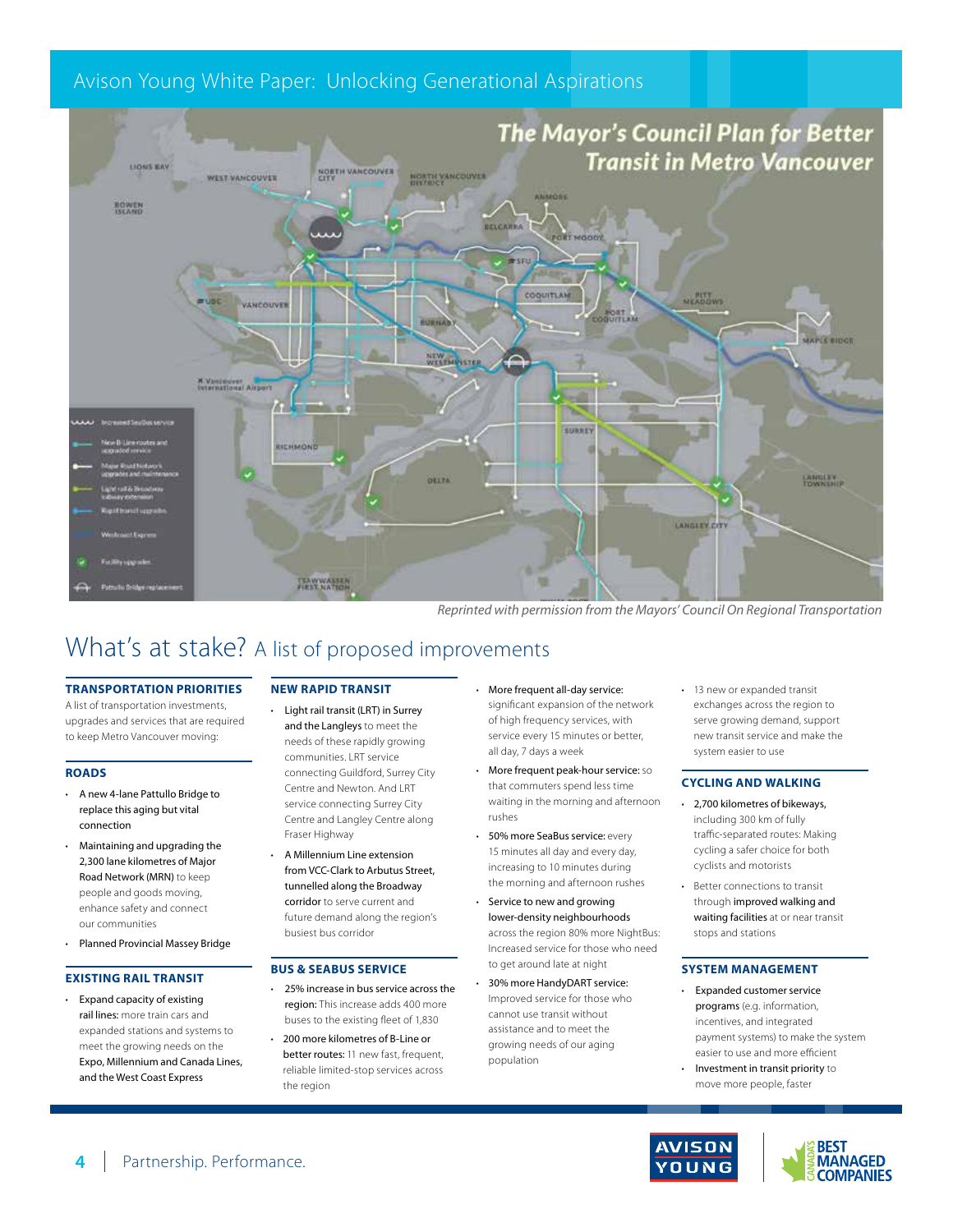

*Reprinted with permission from the Mayors' Council On Regional Transportation*

## What's at stake? A list of proposed improvements

#### **TRANSPORTATION PRIORITIES**

A list of transportation investments, upgrades and services that are required to keep Metro Vancouver moving:

#### **ROADS**

- A new 4-lane Pattullo Bridge to replace this aging but vital connection
- Maintaining and upgrading the 2,300 lane kilometres of Major Road Network (MRN) to keep people and goods moving, enhance safety and connect our communities
- Planned Provincial Massey Bridge

#### **EXISTING RAIL TRANSIT**

• Expand capacity of existing rail lines: more train cars and expanded stations and systems to meet the growing needs on the Expo, Millennium and Canada Lines, and the West Coast Express

#### **NEW RAPID TRANSIT**

- Light rail transit (LRT) in Surrey and the Langleys to meet the needs of these rapidly growing communities. LRT service connecting Guildford, Surrey City Centre and Newton. And LRT service connecting Surrey City Centre and Langley Centre along Fraser Highway
- A Millennium Line extension from VCC-Clark to Arbutus Street, tunnelled along the Broadway corridor to serve current and future demand along the region's busiest bus corridor

#### **BUS & SEABUS SERVICE**

- 25% increase in bus service across the region: This increase adds 400 more buses to the existing fleet of 1,830
- 200 more kilometres of B-Line or better routes: 11 new fast, frequent, reliable limited-stop services across the region
- More frequent all-day service: significant expansion of the network of high frequency services, with service every 15 minutes or better, all day, 7 days a week
- More frequent peak-hour service: so that commuters spend less time waiting in the morning and afternoon rushes
- 50% more SeaBus service: every 15 minutes all day and every day, increasing to 10 minutes during the morning and afternoon rushes
- Service to new and growing lower-density neighbourhoods across the region 80% more NightBus: Increased service for those who need to get around late at night
- 30% more HandyDART service: Improved service for those who cannot use transit without assistance and to meet the growing needs of our aging population

13 new or expanded transit exchanges across the region to serve growing demand, support new transit service and make the system easier to use

#### **CYCLING AND WALKING**

- 2,700 kilometres of bikeways, including 300 km of fully traffic-separated routes: Making cycling a safer choice for both cyclists and motorists
- Better connections to transit through improved walking and waiting facilities at or near transit stops and stations

#### **SYSTEM MANAGEMENT**

- Expanded customer service programs (e.g. information, incentives, and integrated payment systems) to make the system easier to use and more efficient
- Investment in transit priority to move more people, faster





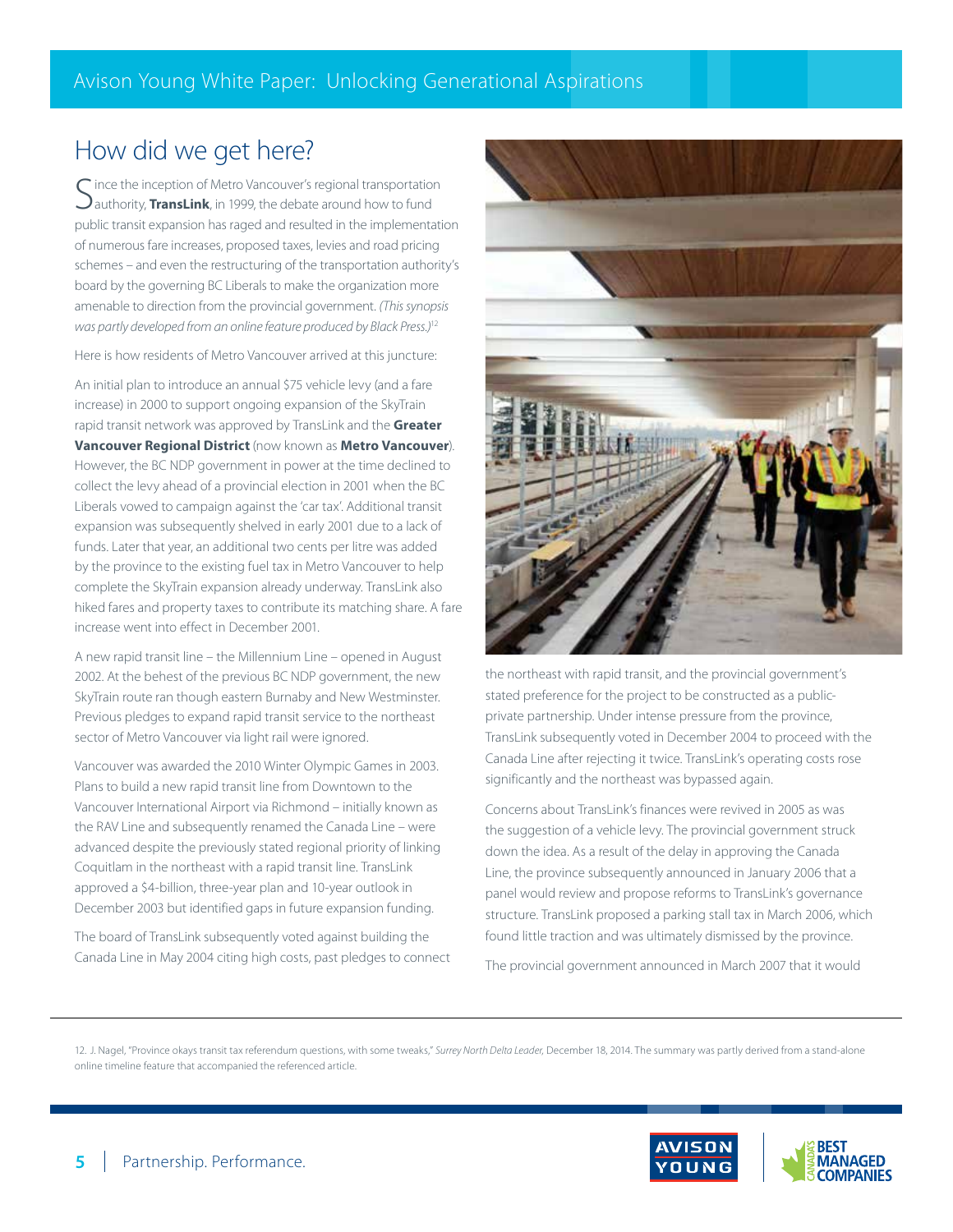## How did we get here?

Since the inception of Metro Vancouver's regional transportation<br>Sauthority, TransLink, in 1999, the debate around how to fund  $\bigcap$  ince the inception of Metro Vancouver's regional transportation public transit expansion has raged and resulted in the implementation of numerous fare increases, proposed taxes, levies and road pricing schemes – and even the restructuring of the transportation authority's board by the governing BC Liberals to make the organization more amenable to direction from the provincial government. *(This synopsis was partly developed from an online feature produced by Black Press.)*<sup>12</sup>

Here is how residents of Metro Vancouver arrived at this juncture:

An initial plan to introduce an annual \$75 vehicle levy (and a fare increase) in 2000 to support ongoing expansion of the SkyTrain rapid transit network was approved by TransLink and the **Greater Vancouver Regional District** (now known as **Metro Vancouver**). However, the BC NDP government in power at the time declined to collect the levy ahead of a provincial election in 2001 when the BC Liberals vowed to campaign against the 'car tax'. Additional transit expansion was subsequently shelved in early 2001 due to a lack of funds. Later that year, an additional two cents per litre was added by the province to the existing fuel tax in Metro Vancouver to help complete the SkyTrain expansion already underway. TransLink also hiked fares and property taxes to contribute its matching share. A fare increase went into effect in December 2001.

A new rapid transit line – the Millennium Line – opened in August 2002. At the behest of the previous BC NDP government, the new SkyTrain route ran though eastern Burnaby and New Westminster. Previous pledges to expand rapid transit service to the northeast sector of Metro Vancouver via light rail were ignored.

Vancouver was awarded the 2010 Winter Olympic Games in 2003. Plans to build a new rapid transit line from Downtown to the Vancouver International Airport via Richmond – initially known as the RAV Line and subsequently renamed the Canada Line – were advanced despite the previously stated regional priority of linking Coquitlam in the northeast with a rapid transit line. TransLink approved a \$4-billion, three-year plan and 10-year outlook in December 2003 but identified gaps in future expansion funding.

The board of TransLink subsequently voted against building the Canada Line in May 2004 citing high costs, past pledges to connect



the northeast with rapid transit, and the provincial government's stated preference for the project to be constructed as a publicprivate partnership. Under intense pressure from the province, TransLink subsequently voted in December 2004 to proceed with the Canada Line after rejecting it twice. TransLink's operating costs rose significantly and the northeast was bypassed again.

Concerns about TransLink's finances were revived in 2005 as was the suggestion of a vehicle levy. The provincial government struck down the idea. As a result of the delay in approving the Canada Line, the province subsequently announced in January 2006 that a panel would review and propose reforms to TransLink's governance structure. TransLink proposed a parking stall tax in March 2006, which found little traction and was ultimately dismissed by the province.

The provincial government announced in March 2007 that it would

12. J. Nagel, "Province okays transit tax referendum questions, with some tweaks," *Surrey North Delta Leader,* December 18, 2014. The summary was partly derived from a stand-alone online timeline feature that accompanied the referenced article.

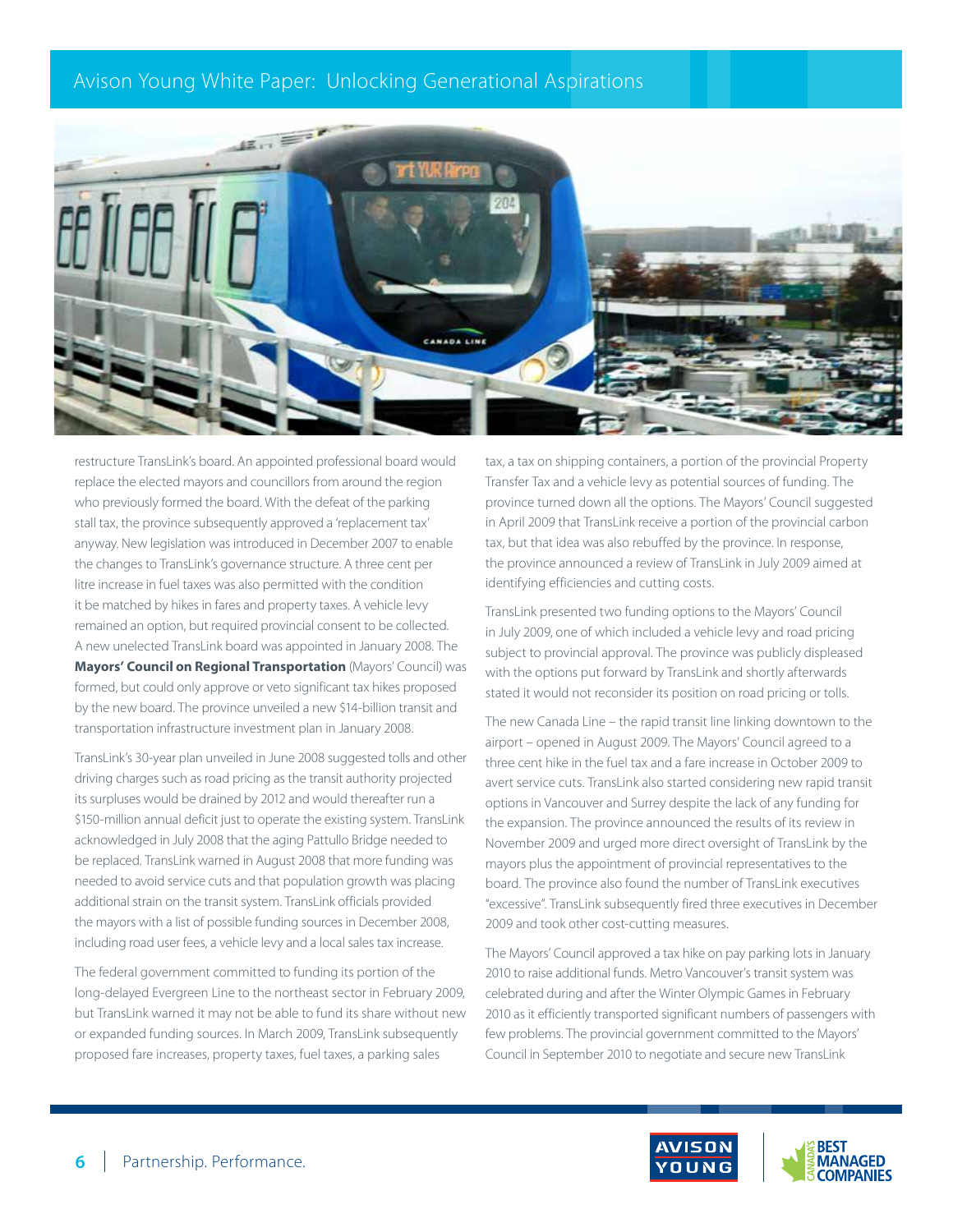

restructure TransLink's board. An appointed professional board would replace the elected mayors and councillors from around the region who previously formed the board. With the defeat of the parking stall tax, the province subsequently approved a 'replacement tax' anyway. New legislation was introduced in December 2007 to enable the changes to TransLink's governance structure. A three cent per litre increase in fuel taxes was also permitted with the condition it be matched by hikes in fares and property taxes. A vehicle levy remained an option, but required provincial consent to be collected. A new unelected TransLink board was appointed in January 2008. The **Mayors' Council on Regional Transportation** (Mayors' Council) was formed, but could only approve or veto significant tax hikes proposed by the new board. The province unveiled a new \$14-billion transit and transportation infrastructure investment plan in January 2008.

TransLink's 30-year plan unveiled in June 2008 suggested tolls and other driving charges such as road pricing as the transit authority projected its surpluses would be drained by 2012 and would thereafter run a \$150-million annual deficit just to operate the existing system. TransLink acknowledged in July 2008 that the aging Pattullo Bridge needed to be replaced. TransLink warned in August 2008 that more funding was needed to avoid service cuts and that population growth was placing additional strain on the transit system. TransLink officials provided the mayors with a list of possible funding sources in December 2008, including road user fees, a vehicle levy and a local sales tax increase.

The federal government committed to funding its portion of the long-delayed Evergreen Line to the northeast sector in February 2009, but TransLink warned it may not be able to fund its share without new or expanded funding sources. In March 2009, TransLink subsequently proposed fare increases, property taxes, fuel taxes, a parking sales

tax, a tax on shipping containers, a portion of the provincial Property Transfer Tax and a vehicle levy as potential sources of funding. The province turned down all the options. The Mayors' Council suggested in April 2009 that TransLink receive a portion of the provincial carbon tax, but that idea was also rebuffed by the province. In response, the province announced a review of TransLink in July 2009 aimed at identifying efficiencies and cutting costs.

TransLink presented two funding options to the Mayors' Council in July 2009, one of which included a vehicle levy and road pricing subject to provincial approval. The province was publicly displeased with the options put forward by TransLink and shortly afterwards stated it would not reconsider its position on road pricing or tolls.

The new Canada Line – the rapid transit line linking downtown to the airport – opened in August 2009. The Mayors' Council agreed to a three cent hike in the fuel tax and a fare increase in October 2009 to avert service cuts. TransLink also started considering new rapid transit options in Vancouver and Surrey despite the lack of any funding for the expansion. The province announced the results of its review in November 2009 and urged more direct oversight of TransLink by the mayors plus the appointment of provincial representatives to the board. The province also found the number of TransLink executives "excessive". TransLink subsequently fired three executives in December 2009 and took other cost-cutting measures.

The Mayors' Council approved a tax hike on pay parking lots in January 2010 to raise additional funds. Metro Vancouver's transit system was celebrated during and after the Winter Olympic Games in February 2010 as it efficiently transported significant numbers of passengers with few problems. The provincial government committed to the Mayors' Council in September 2010 to negotiate and secure new TransLink

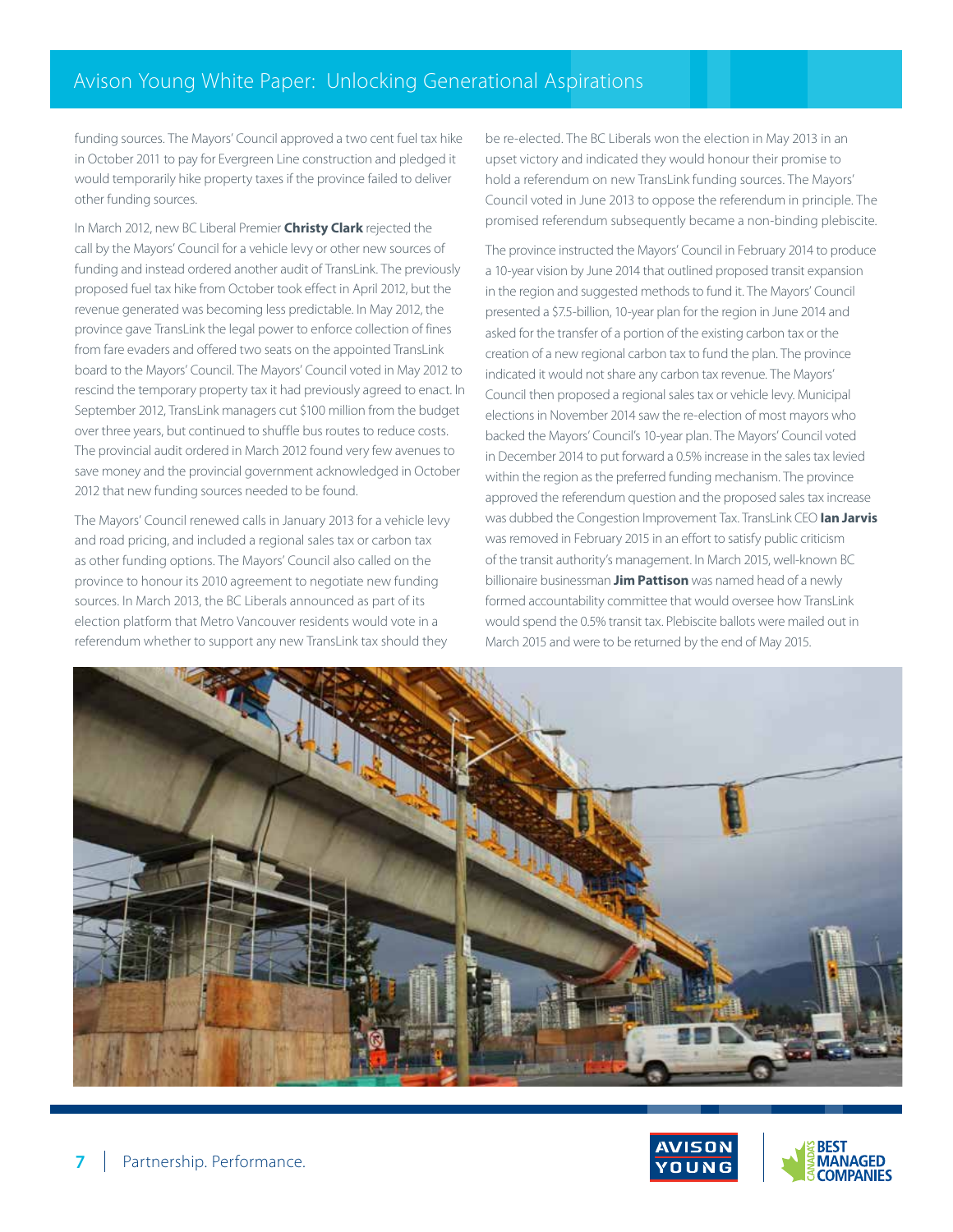funding sources. The Mayors' Council approved a two cent fuel tax hike in October 2011 to pay for Evergreen Line construction and pledged it would temporarily hike property taxes if the province failed to deliver other funding sources.

In March 2012, new BC Liberal Premier **Christy Clark** rejected the call by the Mayors' Council for a vehicle levy or other new sources of funding and instead ordered another audit of TransLink. The previously proposed fuel tax hike from October took effect in April 2012, but the revenue generated was becoming less predictable. In May 2012, the province gave TransLink the legal power to enforce collection of fines from fare evaders and offered two seats on the appointed TransLink board to the Mayors' Council. The Mayors' Council voted in May 2012 to rescind the temporary property tax it had previously agreed to enact. In September 2012, TransLink managers cut \$100 million from the budget over three years, but continued to shuffle bus routes to reduce costs. The provincial audit ordered in March 2012 found very few avenues to save money and the provincial government acknowledged in October 2012 that new funding sources needed to be found.

The Mayors' Council renewed calls in January 2013 for a vehicle levy and road pricing, and included a regional sales tax or carbon tax as other funding options. The Mayors' Council also called on the province to honour its 2010 agreement to negotiate new funding sources. In March 2013, the BC Liberals announced as part of its election platform that Metro Vancouver residents would vote in a referendum whether to support any new TransLink tax should they

be re-elected. The BC Liberals won the election in May 2013 in an upset victory and indicated they would honour their promise to hold a referendum on new TransLink funding sources. The Mayors' Council voted in June 2013 to oppose the referendum in principle. The promised referendum subsequently became a non-binding plebiscite.

The province instructed the Mayors' Council in February 2014 to produce a 10-year vision by June 2014 that outlined proposed transit expansion in the region and suggested methods to fund it. The Mayors' Council presented a \$7.5-billion, 10-year plan for the region in June 2014 and asked for the transfer of a portion of the existing carbon tax or the creation of a new regional carbon tax to fund the plan. The province indicated it would not share any carbon tax revenue. The Mayors' Council then proposed a regional sales tax or vehicle levy. Municipal elections in November 2014 saw the re-election of most mayors who backed the Mayors' Council's 10-year plan. The Mayors' Council voted in December 2014 to put forward a 0.5% increase in the sales tax levied within the region as the preferred funding mechanism. The province approved the referendum question and the proposed sales tax increase was dubbed the Congestion Improvement Tax. TransLink CEO **Ian Jarvis**  was removed in February 2015 in an effort to satisfy public criticism of the transit authority's management. In March 2015, well-known BC billionaire businessman **Jim Pattison** was named head of a newly formed accountability committee that would oversee how TransLink would spend the 0.5% transit tax. Plebiscite ballots were mailed out in March 2015 and were to be returned by the end of May 2015.



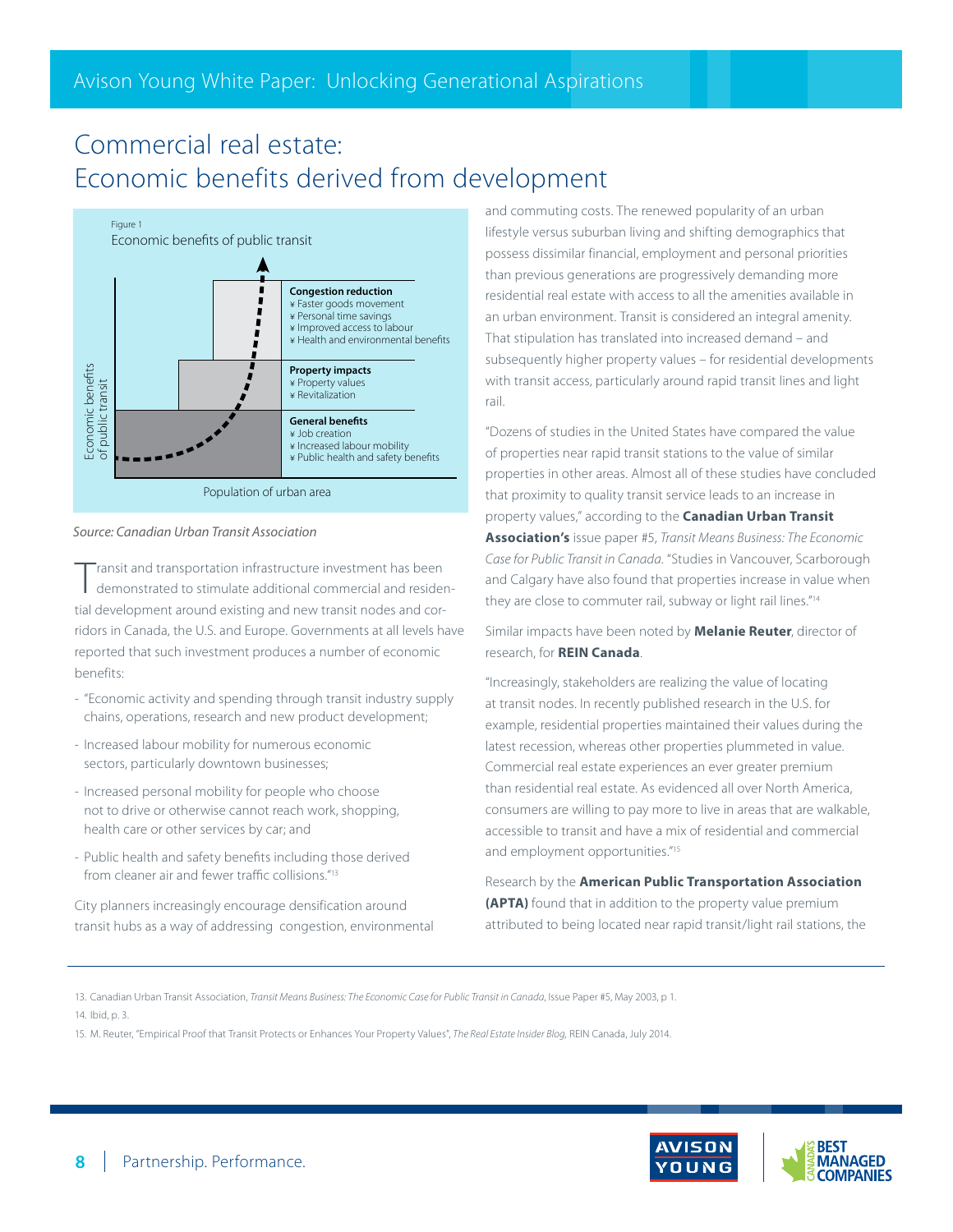## Commercial real estate: Economic benefits derived from development



#### *Source: Canadian Urban Transit Association*

Transit and transportation infrastructure investment has been<br>demonstrated to stimulate additional commercial and residential development around existing and new transit nodes and corridors in Canada, the U.S. and Europe. Governments at all levels have reported that such investment produces a number of economic benefits:

- "Economic activity and spending through transit industry supply chains, operations, research and new product development;
- Increased labour mobility for numerous economic sectors, particularly downtown businesses;
- Increased personal mobility for people who choose not to drive or otherwise cannot reach work, shopping, health care or other services by car; and
- Public health and safety benefits including those derived from cleaner air and fewer traffic collisions."13

City planners increasingly encourage densification around transit hubs as a way of addressing congestion, environmental and commuting costs. The renewed popularity of an urban lifestyle versus suburban living and shifting demographics that possess dissimilar financial, employment and personal priorities than previous generations are progressively demanding more residential real estate with access to all the amenities available in an urban environment. Transit is considered an integral amenity. That stipulation has translated into increased demand – and subsequently higher property values – for residential developments with transit access, particularly around rapid transit lines and light rail.

"Dozens of studies in the United States have compared the value of properties near rapid transit stations to the value of similar properties in other areas. Almost all of these studies have concluded that proximity to quality transit service leads to an increase in property values," according to the **Canadian Urban Transit Association's** issue paper #5, *Transit Means Business: The Economic Case for Public Transit in Canada*. "Studies in Vancouver, Scarborough and Calgary have also found that properties increase in value when they are close to commuter rail, subway or light rail lines."<sup>14</sup>

Similar impacts have been noted by **Melanie Reuter**, director of research, for **REIN Canada**.

"Increasingly, stakeholders are realizing the value of locating at transit nodes. In recently published research in the U.S. for example, residential properties maintained their values during the latest recession, whereas other properties plummeted in value. Commercial real estate experiences an ever greater premium than residential real estate. As evidenced all over North America, consumers are willing to pay more to live in areas that are walkable, accessible to transit and have a mix of residential and commercial and employment opportunities."15

Research by the **American Public Transportation Association (APTA)** found that in addition to the property value premium attributed to being located near rapid transit/light rail stations, the

13. Canadian Urban Transit Association, *Transit Means Business: The Economic Case for Public Transit in Canada*, Issue Paper #5, May 2003, p 1. 14. Ibid, p. 3.

15. M. Reuter, "Empirical Proof that Transit Protects or Enhances Your Property Values", *The Real Estate Insider Blog,* REIN Canada, July 2014.

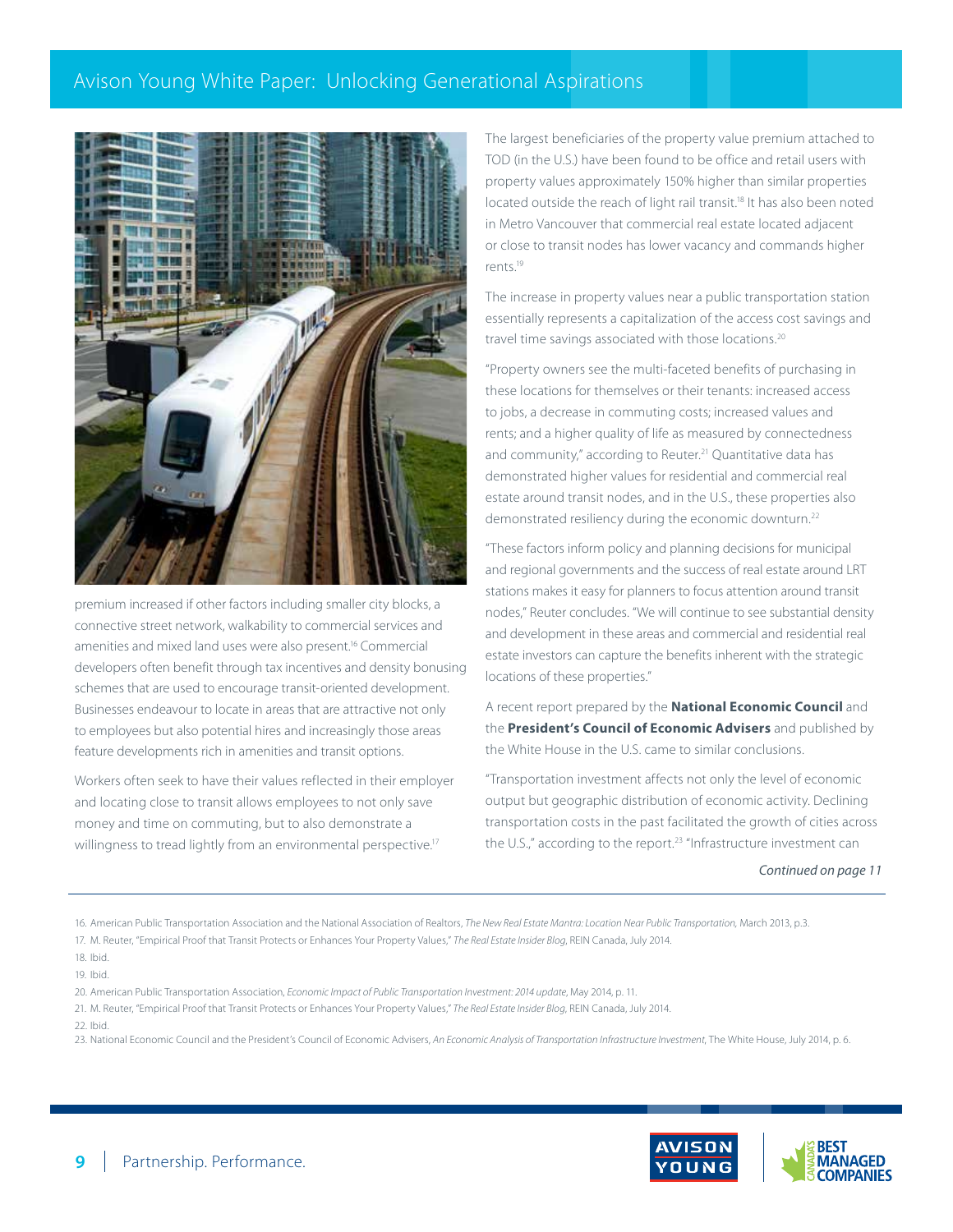

premium increased if other factors including smaller city blocks, a connective street network, walkability to commercial services and amenities and mixed land uses were also present.16 Commercial developers often benefit through tax incentives and density bonusing schemes that are used to encourage transit-oriented development. Businesses endeavour to locate in areas that are attractive not only to employees but also potential hires and increasingly those areas feature developments rich in amenities and transit options.

Workers often seek to have their values reflected in their employer and locating close to transit allows employees to not only save money and time on commuting, but to also demonstrate a willingness to tread lightly from an environmental perspective.<sup>17</sup>

The largest beneficiaries of the property value premium attached to TOD (in the U.S.) have been found to be office and retail users with property values approximately 150% higher than similar properties located outside the reach of light rail transit.<sup>18</sup> It has also been noted in Metro Vancouver that commercial real estate located adjacent or close to transit nodes has lower vacancy and commands higher rents.19

The increase in property values near a public transportation station essentially represents a capitalization of the access cost savings and travel time savings associated with those locations.<sup>20</sup>

"Property owners see the multi-faceted benefits of purchasing in these locations for themselves or their tenants: increased access to jobs, a decrease in commuting costs; increased values and rents; and a higher quality of life as measured by connectedness and community," according to Reuter.<sup>21</sup> Quantitative data has demonstrated higher values for residential and commercial real estate around transit nodes, and in the U.S., these properties also demonstrated resiliency during the economic downturn.<sup>22</sup>

"These factors inform policy and planning decisions for municipal and regional governments and the success of real estate around LRT stations makes it easy for planners to focus attention around transit nodes," Reuter concludes. "We will continue to see substantial density and development in these areas and commercial and residential real estate investors can capture the benefits inherent with the strategic locations of these properties."

A recent report prepared by the **National Economic Council** and the **President's Council of Economic Advisers** and published by the White House in the U.S. came to similar conclusions.

"Transportation investment affects not only the level of economic output but geographic distribution of economic activity. Declining transportation costs in the past facilitated the growth of cities across the U.S.," according to the report.<sup>23</sup> "Infrastructure investment can

*Continued on page 11*

16. American Public Transportation Association and the National Association of Realtors, *The New Real Estate Mantra: Location Near Public Transportation,* March 2013, p.3.

- 20. American Public Transportation Association, *Economic Impact of Public Transportation Investment: 2014 update*, May 2014, p. 11.
- 21. M. Reuter, "Empirical Proof that Transit Protects or Enhances Your Property Values," *The Real Estate Insider Blog*, REIN Canada, July 2014.
- 22. Ibid.

23. National Economic Council and the President's Council of Economic Advisers, *An Economic Analysis of Transportation Infrastructure Investment*, The White House, July 2014, p. 6.



<sup>17.</sup> M. Reuter, "Empirical Proof that Transit Protects or Enhances Your Property Values," *The Real Estate Insider Blog*, REIN Canada, July 2014.

<sup>18.</sup> Ibid.

<sup>19.</sup> Ibid.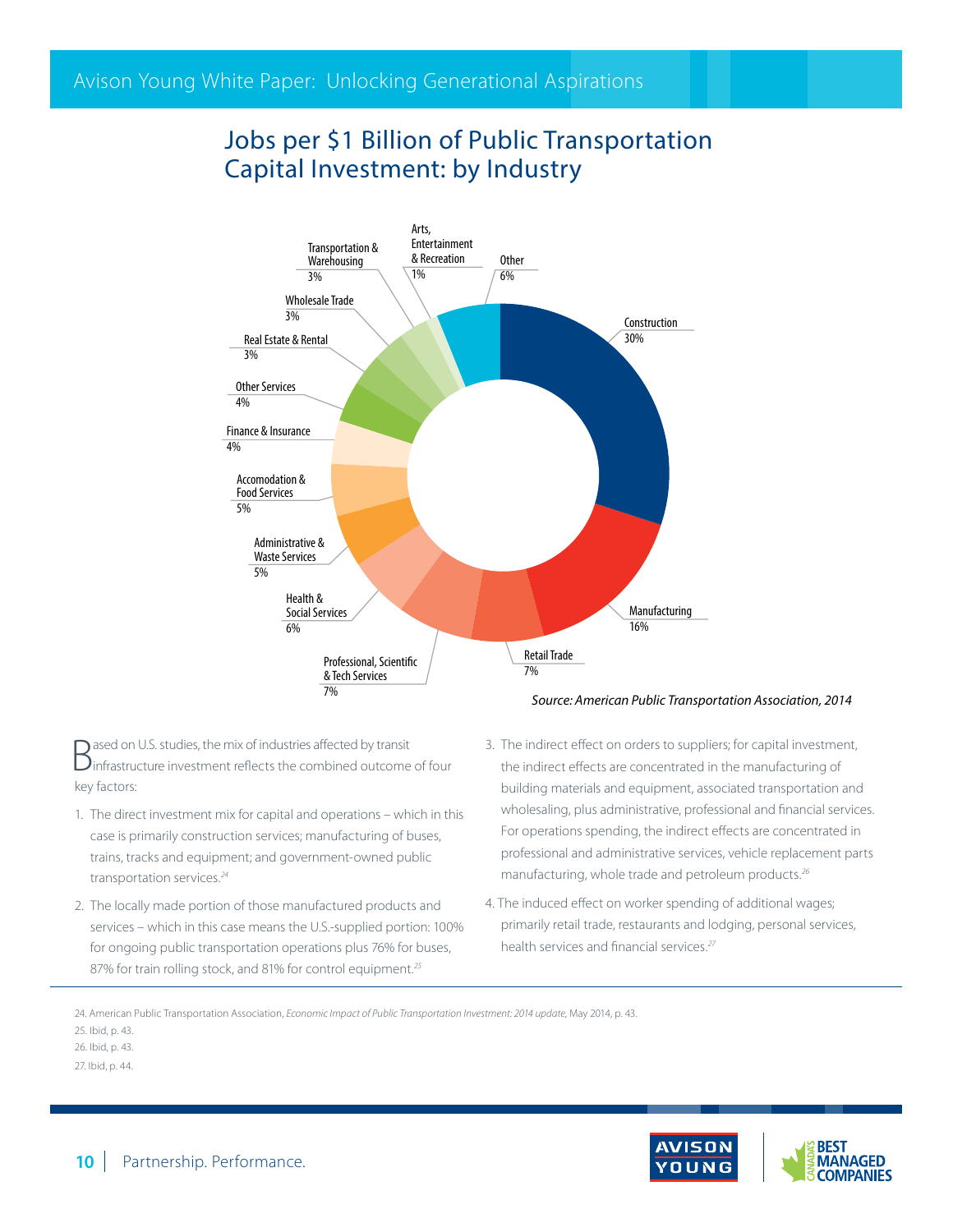## Jobs per \$1 Billion of Public Transportation Capital Investment: by Industry



Based on U.S. studies, the mix of industries affected by transit infrastructure investment reflects the combined outcome of four key factors:

- 1. The direct investment mix for capital and operations which in this case is primarily construction services; manufacturing of buses, trains, tracks and equipment; and government-owned public transportation services.*<sup>24</sup>*
- 2. The locally made portion of those manufactured products and services – which in this case means the U.S.-supplied portion: 100% for ongoing public transportation operations plus 76% for buses, 87% for train rolling stock, and 81% for control equipment.*<sup>25</sup>*
- 3. The indirect effect on orders to suppliers; for capital investment, the indirect effects are concentrated in the manufacturing of building materials and equipment, associated transportation and wholesaling, plus administrative, professional and financial services. For operations spending, the indirect effects are concentrated in professional and administrative services, vehicle replacement parts manufacturing, whole trade and petroleum products.*<sup>26</sup>*
- 4. The induced effect on worker spending of additional wages; primarily retail trade, restaurants and lodging, personal services, health services and financial services.*<sup>27</sup>*

24. American Public Transportation Association, *Economic Impact of Public Transportation Investment: 2014 update*, May 2014, p. 43.

25. Ibid, p. 43.

26. Ibid, p. 43.

27. Ibid, p. 44.

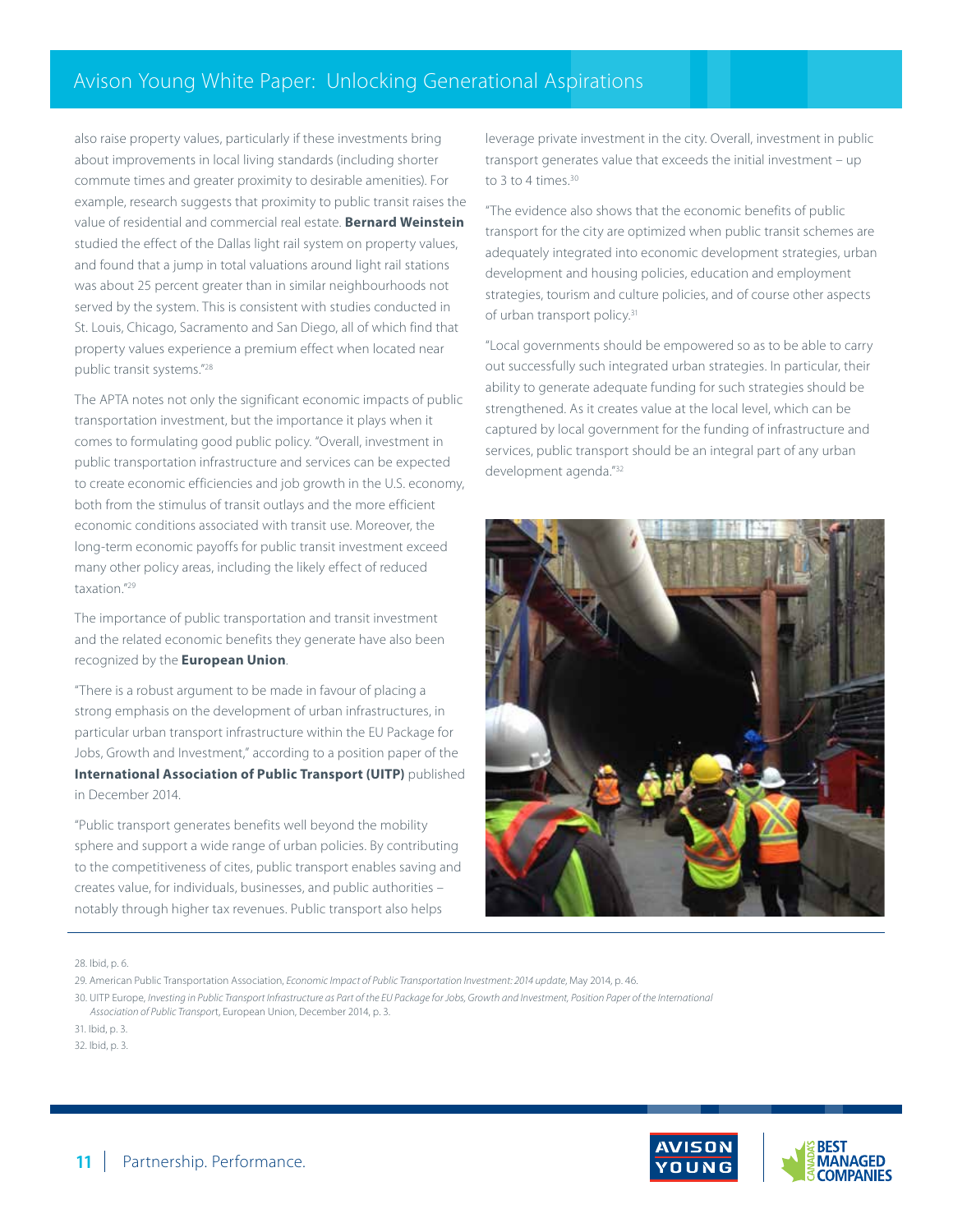also raise property values, particularly if these investments bring about improvements in local living standards (including shorter commute times and greater proximity to desirable amenities). For example, research suggests that proximity to public transit raises the value of residential and commercial real estate. **Bernard Weinstein** studied the effect of the Dallas light rail system on property values, and found that a jump in total valuations around light rail stations was about 25 percent greater than in similar neighbourhoods not served by the system. This is consistent with studies conducted in St. Louis, Chicago, Sacramento and San Diego, all of which find that property values experience a premium effect when located near public transit systems."28

The APTA notes not only the significant economic impacts of public transportation investment, but the importance it plays when it comes to formulating good public policy. "Overall, investment in public transportation infrastructure and services can be expected to create economic efficiencies and job growth in the U.S. economy, both from the stimulus of transit outlays and the more efficient economic conditions associated with transit use. Moreover, the long-term economic payoffs for public transit investment exceed many other policy areas, including the likely effect of reduced taxation."29

The importance of public transportation and transit investment and the related economic benefits they generate have also been recognized by the **European Union**.

"There is a robust argument to be made in favour of placing a strong emphasis on the development of urban infrastructures, in particular urban transport infrastructure within the EU Package for Jobs, Growth and Investment," according to a position paper of the **International Association of Public Transport (UITP)** published in December 2014.

"Public transport generates benefits well beyond the mobility sphere and support a wide range of urban policies. By contributing to the competitiveness of cites, public transport enables saving and creates value, for individuals, businesses, and public authorities – notably through higher tax revenues. Public transport also helps

leverage private investment in the city. Overall, investment in public transport generates value that exceeds the initial investment – up to 3 to 4 times.<sup>30</sup>

"The evidence also shows that the economic benefits of public transport for the city are optimized when public transit schemes are adequately integrated into economic development strategies, urban development and housing policies, education and employment strategies, tourism and culture policies, and of course other aspects of urban transport policy.<sup>31</sup>

"Local governments should be empowered so as to be able to carry out successfully such integrated urban strategies. In particular, their ability to generate adequate funding for such strategies should be strengthened. As it creates value at the local level, which can be captured by local government for the funding of infrastructure and services, public transport should be an integral part of any urban development agenda."32



28. Ibid, p. 6.

31. Ibid, p. 3.

32. Ibid, p. 3.



<sup>29.</sup> American Public Transportation Association, *Economic Impact of Public Transportation Investment: 2014 update*, May 2014, p. 46.

<sup>30.</sup> UITP Europe, *Investing in Public Transport Infrastructure as Part of the EU Package for Jobs, Growth and Investment, Position Paper of the International Association of Public Transpor*t, European Union, December 2014, p. 3.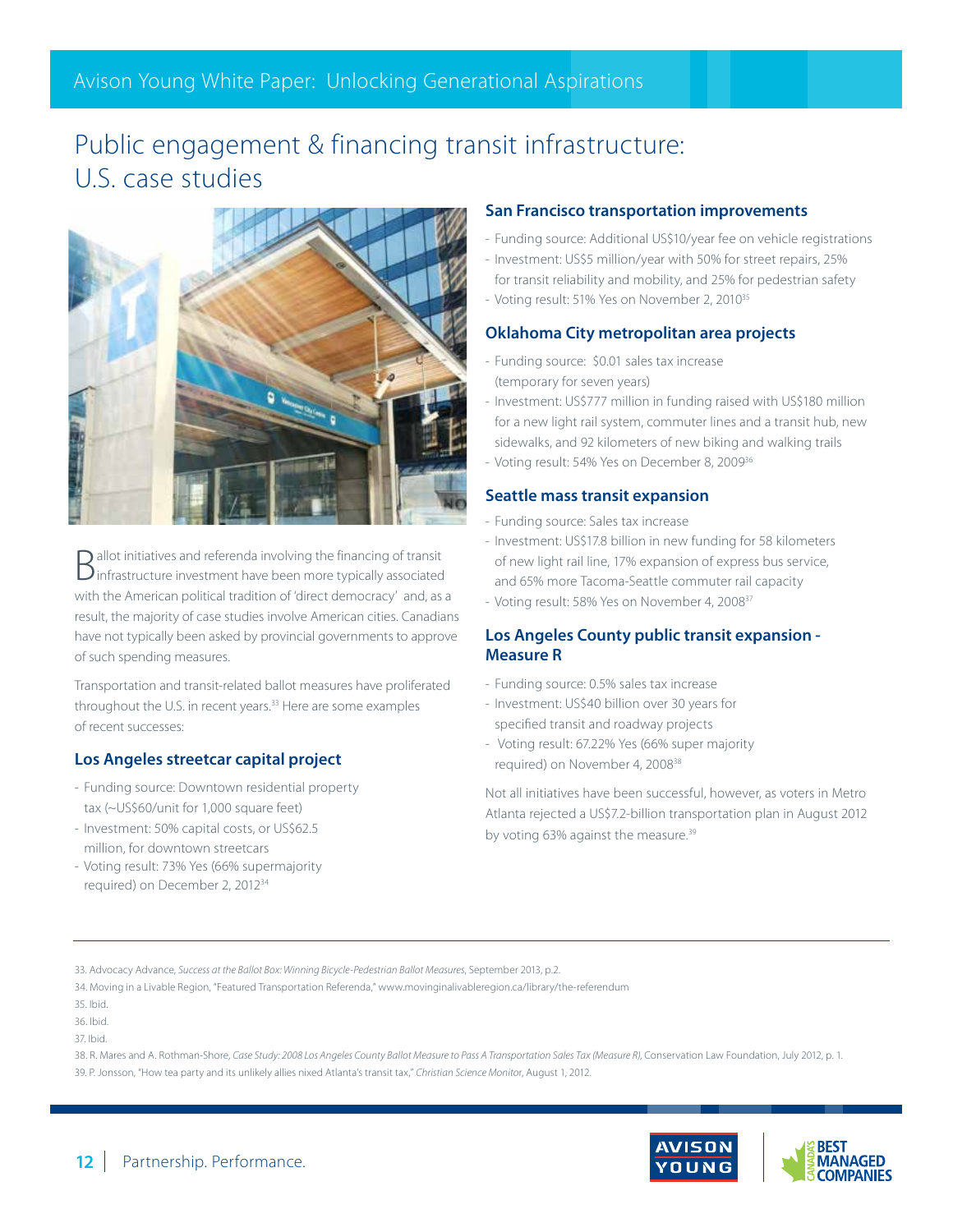## Public engagement & financing transit infrastructure: U.S. case studies



 $\begin{aligned} \text{P} & \text{allot initiatives and referenda involving the financing of transit} \\ & \text{infrastructure investment have been more typically associated} \end{aligned}$ with the American political tradition of 'direct democracy' and, as a result, the majority of case studies involve American cities. Canadians have not typically been asked by provincial governments to approve of such spending measures.

Transportation and transit-related ballot measures have proliferated throughout the U.S. in recent years.33 Here are some examples of recent successes:

### **Los Angeles streetcar capital project**

- Funding source: Downtown residential property tax (~US\$60/unit for 1,000 square feet)
- Investment: 50% capital costs, or US\$62.5 million, for downtown streetcars
- Voting result: 73% Yes (66% supermajority required) on December 2, 201234

#### **San Francisco transportation improvements**

- Funding source: Additional US\$10/year fee on vehicle registrations
- Investment: US\$5 million/year with 50% for street repairs, 25% for transit reliability and mobility, and 25% for pedestrian safety
- Voting result: 51% Yes on November 2, 2010<sup>35</sup>

### **Oklahoma City metropolitan area projects**

- Funding source: \$0.01 sales tax increase (temporary for seven years)
- Investment: US\$777 million in funding raised with US\$180 million for a new light rail system, commuter lines and a transit hub, new sidewalks, and 92 kilometers of new biking and walking trails
- Voting result: 54% Yes on December 8, 2009<sup>36</sup>

### **Seattle mass transit expansion**

- Funding source: Sales tax increase
- Investment: US\$17.8 billion in new funding for 58 kilometers of new light rail line, 17% expansion of express bus service, and 65% more Tacoma-Seattle commuter rail capacity
- Voting result: 58% Yes on November 4, 200837

### **Los Angeles County public transit expansion - Measure R**

- Funding source: 0.5% sales tax increase
- Investment: US\$40 billion over 30 years for specified transit and roadway projects
- Voting result: 67.22% Yes (66% super majority required) on November 4, 200838

Not all initiatives have been successful, however, as voters in Metro Atlanta rejected a US\$7.2-billion transportation plan in August 2012 by voting 63% against the measure.<sup>39</sup>

- 38. R. Mares and A. Rothman-Shore, *Case Study: 2008 Los Angeles County Ballot Measure to Pass A Transportation Sales Tax (Measure R)*, Conservation Law Foundation, July 2012, p. 1.
- 39. P. Jonsson, "How tea party and its unlikely allies nixed Atlanta's transit tax," *Christian Science Monito*r, August 1, 2012.



<sup>33.</sup> Advocacy Advance, *Success at the Ballot Box: Winning Bicycle-Pedestrian Ballot Measures*, September 2013, p.2.

<sup>34.</sup> Moving in a Livable Region, "Featured Transportation Referenda," www.movinginalivableregion.ca/library/the-referendum

<sup>35.</sup> Ibid.

<sup>36.</sup> Ibid.

<sup>37.</sup> Ibid.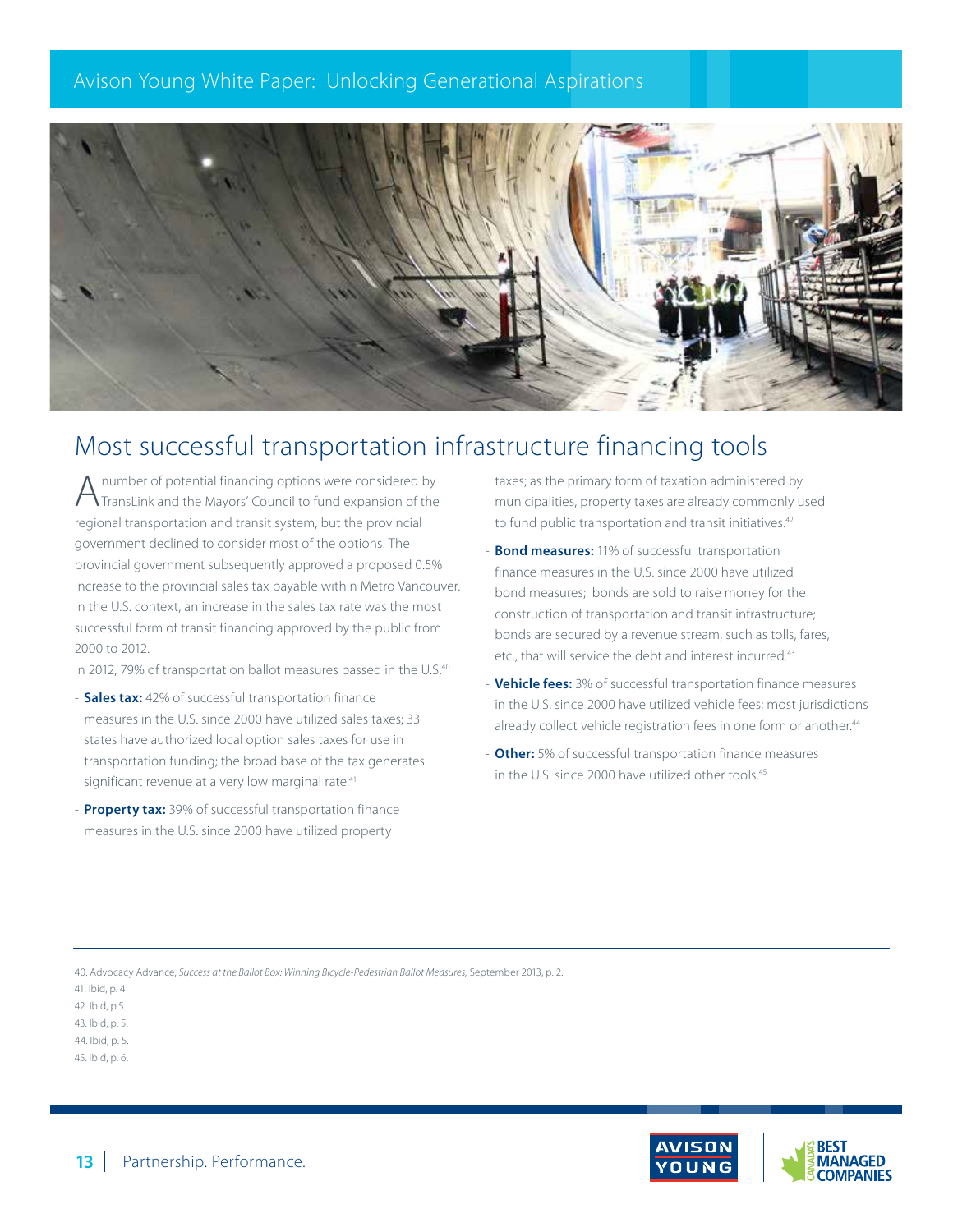

## Most successful transportation infrastructure financing tools

A number of potential financing options were considered by TransLink and the Mayors' Council to fund expansion of the regional transportation and transit system, but the provincial government declined to consider most of the options. The provincial government subsequently approved a proposed 0.5% increase to the provincial sales tax payable within Metro Vancouver. In the U.S. context, an increase in the sales tax rate was the most successful form of transit financing approved by the public from 2000 to 2012.

In 2012, 79% of transportation ballot measures passed in the U.S.<sup>40</sup>

- **Sales tax:** 42% of successful transportation finance measures in the U.S. since 2000 have utilized sales taxes; 33 states have authorized local option sales taxes for use in transportation funding; the broad base of the tax generates significant revenue at a very low marginal rate.<sup>41</sup>
- **Property tax:** 39% of successful transportation finance measures in the U.S. since 2000 have utilized property

taxes; as the primary form of taxation administered by municipalities, property taxes are already commonly used to fund public transportation and transit initiatives.<sup>42</sup>

- **Bond measures:** 11% of successful transportation finance measures in the U.S. since 2000 have utilized bond measures; bonds are sold to raise money for the construction of transportation and transit infrastructure; bonds are secured by a revenue stream, such as tolls, fares, etc., that will service the debt and interest incurred.<sup>43</sup>
- **Vehicle fees:** 3% of successful transportation finance measures in the U.S. since 2000 have utilized vehicle fees; most jurisdictions already collect vehicle registration fees in one form or another.<sup>44</sup>
- **Other:** 5% of successful transportation finance measures in the U.S. since 2000 have utilized other tools.<sup>45</sup>

40. Advocacy Advance, *Success at the Ballot Box: Winning Bicycle-Pedestrian Ballot Measures,* September 2013, p. 2.



<sup>41.</sup> Ibid, p. 4

<sup>42.</sup> Ibid, p.5.

<sup>43.</sup> Ibid, p. 5.

<sup>44.</sup> Ibid, p. 5.

<sup>45.</sup> Ibid, p. 6.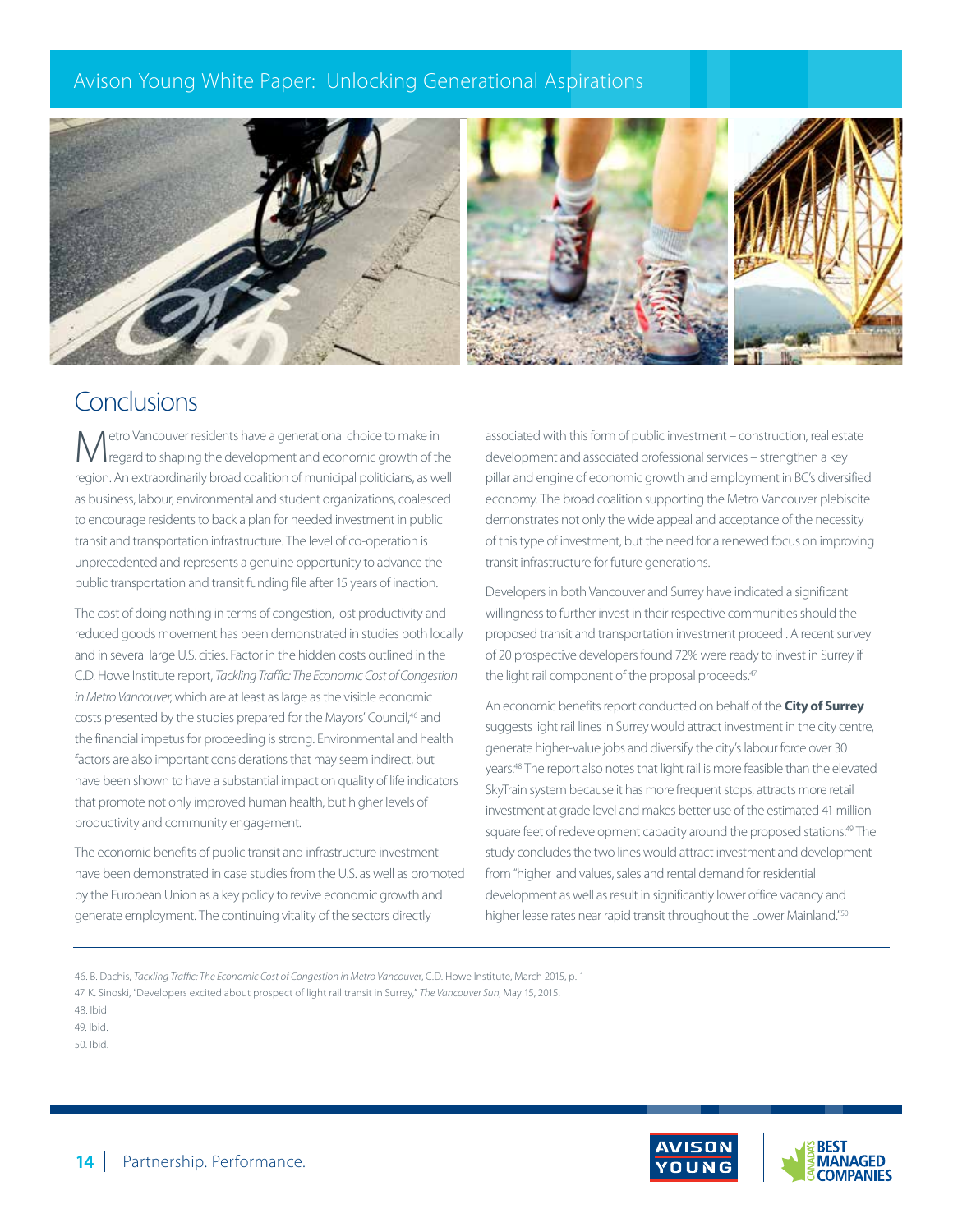

## Conclusions

etro Vancouver residents have a generational choice to make in regard to shaping the development and economic growth of the region. An extraordinarily broad coalition of municipal politicians, as well as business, labour, environmental and student organizations, coalesced to encourage residents to back a plan for needed investment in public transit and transportation infrastructure. The level of co-operation is unprecedented and represents a genuine opportunity to advance the public transportation and transit funding file after 15 years of inaction.

The cost of doing nothing in terms of congestion, lost productivity and reduced goods movement has been demonstrated in studies both locally and in several large U.S. cities. Factor in the hidden costs outlined in the C.D. Howe Institute report, *Tackling Traffic: The Economic Cost of Congestion in Metro Vancouver*, which are at least as large as the visible economic costs presented by the studies prepared for the Mayors' Council,<sup>46</sup> and the financial impetus for proceeding is strong. Environmental and health factors are also important considerations that may seem indirect, but have been shown to have a substantial impact on quality of life indicators that promote not only improved human health, but higher levels of productivity and community engagement.

The economic benefits of public transit and infrastructure investment have been demonstrated in case studies from the U.S. as well as promoted by the European Union as a key policy to revive economic growth and generate employment. The continuing vitality of the sectors directly

associated with this form of public investment – construction, real estate development and associated professional services – strengthen a key pillar and engine of economic growth and employment in BC's diversified economy. The broad coalition supporting the Metro Vancouver plebiscite demonstrates not only the wide appeal and acceptance of the necessity of this type of investment, but the need for a renewed focus on improving transit infrastructure for future generations.

Developers in both Vancouver and Surrey have indicated a significant willingness to further invest in their respective communities should the proposed transit and transportation investment proceed . A recent survey of 20 prospective developers found 72% were ready to invest in Surrey if the light rail component of the proposal proceeds.<sup>47</sup>

An economic benefits report conducted on behalf of the **City of Surrey**  suggests light rail lines in Surrey would attract investment in the city centre, generate higher-value jobs and diversify the city's labour force over 30 years.48 The report also notes that light rail is more feasible than the elevated SkyTrain system because it has more frequent stops, attracts more retail investment at grade level and makes better use of the estimated 41 million square feet of redevelopment capacity around the proposed stations.<sup>49</sup> The study concludes the two lines would attract investment and development from "higher land values, sales and rental demand for residential development as well as result in significantly lower office vacancy and higher lease rates near rapid transit throughout the Lower Mainland."50

- 46. B. Dachis, *Tackling Traffic: The Economic Cost of Congestion in Metro Vancouve*r, C.D. Howe Institute, March 2015, p. 1
- 47. K. Sinoski, "Developers excited about prospect of light rail transit in Surrey," *The Vancouver Sun*, May 15, 2015.

49. Ibid.

50. Ibid.



<sup>48.</sup> Ibid.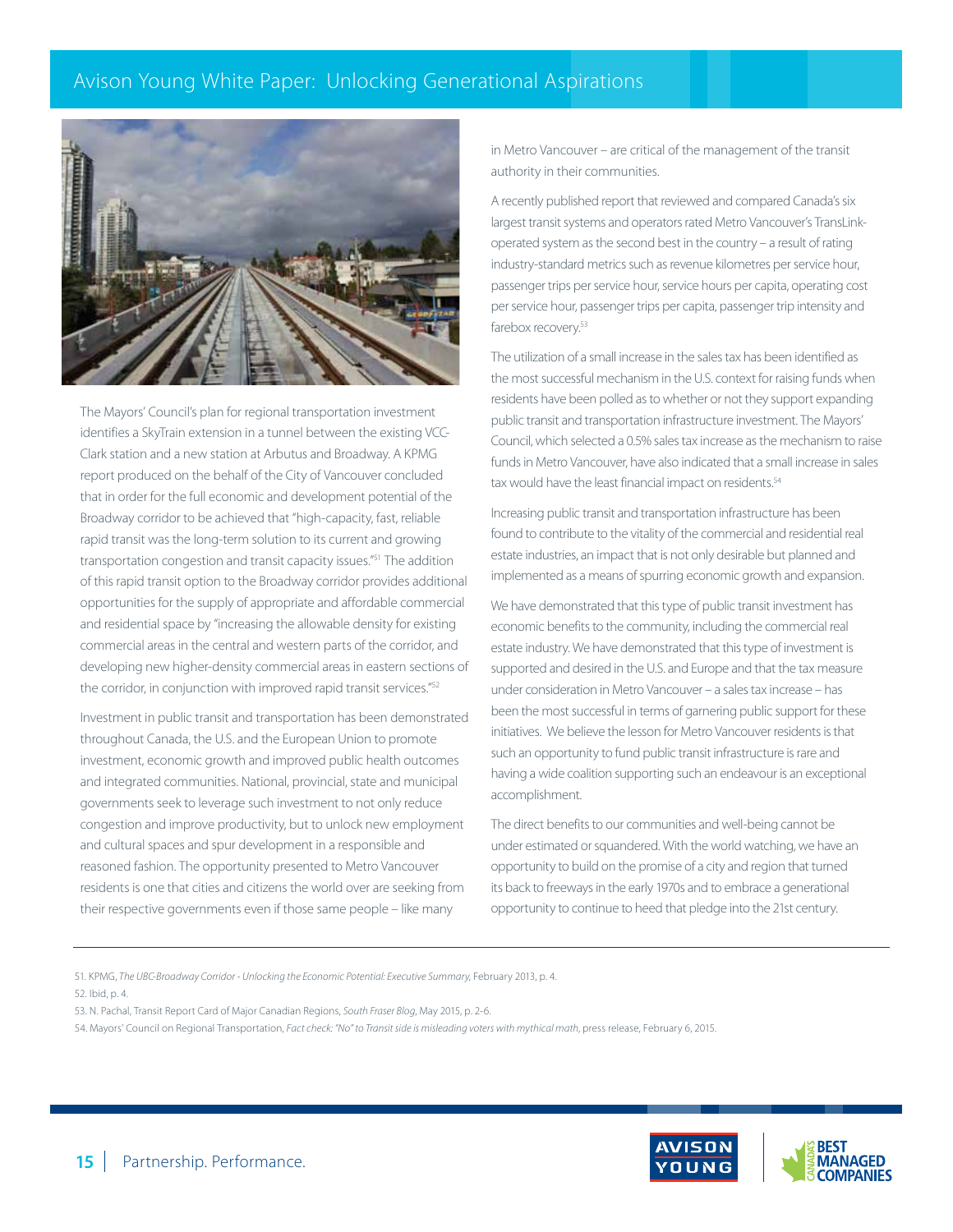

The Mayors' Council's plan for regional transportation investment identifies a SkyTrain extension in a tunnel between the existing VCC-Clark station and a new station at Arbutus and Broadway. A KPMG report produced on the behalf of the City of Vancouver concluded that in order for the full economic and development potential of the Broadway corridor to be achieved that "high-capacity, fast, reliable rapid transit was the long-term solution to its current and growing transportation congestion and transit capacity issues."51 The addition of this rapid transit option to the Broadway corridor provides additional opportunities for the supply of appropriate and affordable commercial and residential space by "increasing the allowable density for existing commercial areas in the central and western parts of the corridor, and developing new higher-density commercial areas in eastern sections of the corridor, in conjunction with improved rapid transit services."52

Investment in public transit and transportation has been demonstrated throughout Canada, the U.S. and the European Union to promote investment, economic growth and improved public health outcomes and integrated communities. National, provincial, state and municipal governments seek to leverage such investment to not only reduce congestion and improve productivity, but to unlock new employment and cultural spaces and spur development in a responsible and reasoned fashion. The opportunity presented to Metro Vancouver residents is one that cities and citizens the world over are seeking from their respective governments even if those same people – like many

in Metro Vancouver – are critical of the management of the transit authority in their communities.

A recently published report that reviewed and compared Canada's six largest transit systems and operators rated Metro Vancouver's TransLinkoperated system as the second best in the country – a result of rating industry-standard metrics such as revenue kilometres per service hour, passenger trips per service hour, service hours per capita, operating cost per service hour, passenger trips per capita, passenger trip intensity and farebox recovery.<sup>53</sup>

The utilization of a small increase in the sales tax has been identified as the most successful mechanism in the U.S. context for raising funds when residents have been polled as to whether or not they support expanding public transit and transportation infrastructure investment. The Mayors' Council, which selected a 0.5% sales tax increase as the mechanism to raise funds in Metro Vancouver, have also indicated that a small increase in sales tax would have the least financial impact on residents.<sup>54</sup>

Increasing public transit and transportation infrastructure has been found to contribute to the vitality of the commercial and residential real estate industries, an impact that is not only desirable but planned and implemented as a means of spurring economic growth and expansion.

We have demonstrated that this type of public transit investment has economic benefits to the community, including the commercial real estate industry. We have demonstrated that this type of investment is supported and desired in the U.S. and Europe and that the tax measure under consideration in Metro Vancouver – a sales tax increase – has been the most successful in terms of garnering public support for these initiatives. We believe the lesson for Metro Vancouver residents is that such an opportunity to fund public transit infrastructure is rare and having a wide coalition supporting such an endeavour is an exceptional accomplishment.

The direct benefits to our communities and well-being cannot be under estimated or squandered. With the world watching, we have an opportunity to build on the promise of a city and region that turned its back to freeways in the early 1970s and to embrace a generational opportunity to continue to heed that pledge into the 21st century.

51. KPMG, *The UBC-Broadway Corridor - Unlocking the Economic Potential: Executive Summary*, February 2013, p. 4.

52. Ibid, p. 4.

53. N. Pachal, Transit Report Card of Major Canadian Regions, *South Fraser Blog*, May 2015, p. 2-6.

54. Mayors' Council on Regional Transportation, *Fact check: "No" to Transit side is misleading voters with mythical math*, press release, February 6, 2015.

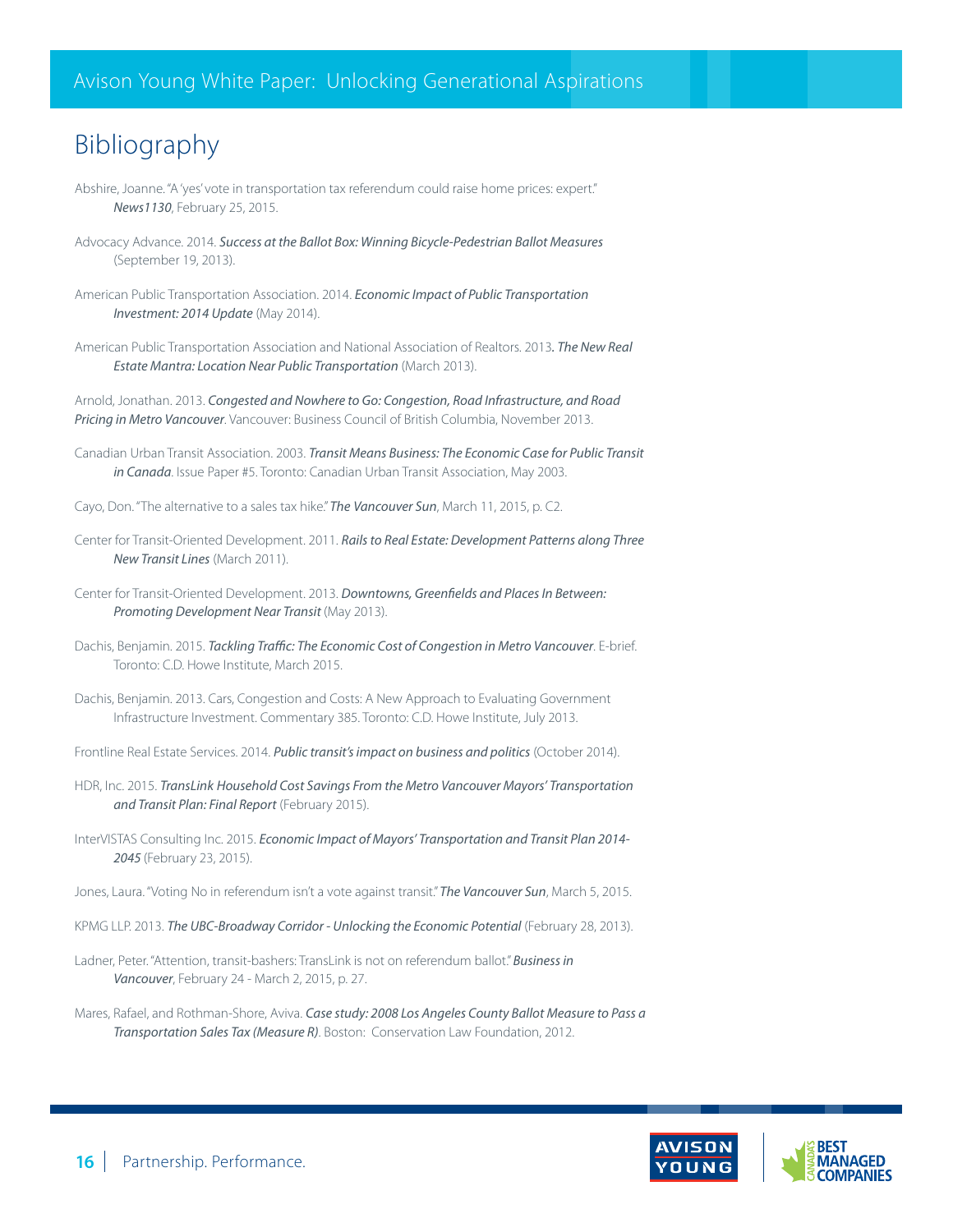## Bibliography

- Abshire, Joanne. "A 'yes' vote in transportation tax referendum could raise home prices: expert." *News1130*, February 25, 2015.
- Advocacy Advance. 2014. *Success at the Ballot Box: Winning Bicycle-Pedestrian Ballot Measures* (September 19, 2013).
- American Public Transportation Association. 2014. *Economic Impact of Public Transportation Investment: 2014 Update* (May 2014).
- American Public Transportation Association and National Association of Realtors. 2013*. The New Real Estate Mantra: Location Near Public Transportation* (March 2013).

Arnold, Jonathan. 2013. *Congested and Nowhere to Go: Congestion, Road Infrastructure, and Road Pricing in Metro Vancouver*. Vancouver: Business Council of British Columbia, November 2013.

Canadian Urban Transit Association. 2003. *Transit Means Business: The Economic Case for Public Transit in Canada*. Issue Paper #5. Toronto: Canadian Urban Transit Association, May 2003.

Cayo, Don. "The alternative to a sales tax hike." *The Vancouver Sun*, March 11, 2015, p. C2.

- Center for Transit-Oriented Development. 2011. *Rails to Real Estate: Development Patterns along Three New Transit Lines* (March 2011).
- Center for Transit-Oriented Development. 2013. *Downtowns, Greenfields and Places In Between: Promoting Development Near Transit* (May 2013).
- Dachis, Benjamin. 2015. *Tackling Traffic: The Economic Cost of Congestion in Metro Vancouver*. E-brief. Toronto: C.D. Howe Institute, March 2015.
- Dachis, Benjamin. 2013. Cars, Congestion and Costs: A New Approach to Evaluating Government Infrastructure Investment. Commentary 385. Toronto: C.D. Howe Institute, July 2013.
- Frontline Real Estate Services. 2014. *Public transit's impact on business and politics* (October 2014).
- HDR, Inc. 2015. *TransLink Household Cost Savings From the Metro Vancouver Mayors' Transportation and Transit Plan: Final Report* (February 2015).
- InterVISTAS Consulting Inc. 2015. *Economic Impact of Mayors' Transportation and Transit Plan 2014- 2045* (February 23, 2015).
- Jones, Laura. "Voting No in referendum isn't a vote against transit." *The Vancouver Sun*, March 5, 2015.
- KPMG LLP. 2013. *The UBC-Broadway Corridor Unlocking the Economic Potential* (February 28, 2013).
- Ladner, Peter. "Attention, transit-bashers: TransLink is not on referendum ballot." *Business in Vancouver*, February 24 - March 2, 2015, p. 27.
- Mares, Rafael, and Rothman-Shore, Aviva. *Case study: 2008 Los Angeles County Ballot Measure to Pass a Transportation Sales Tax (Measure R)*. Boston: Conservation Law Foundation, 2012.